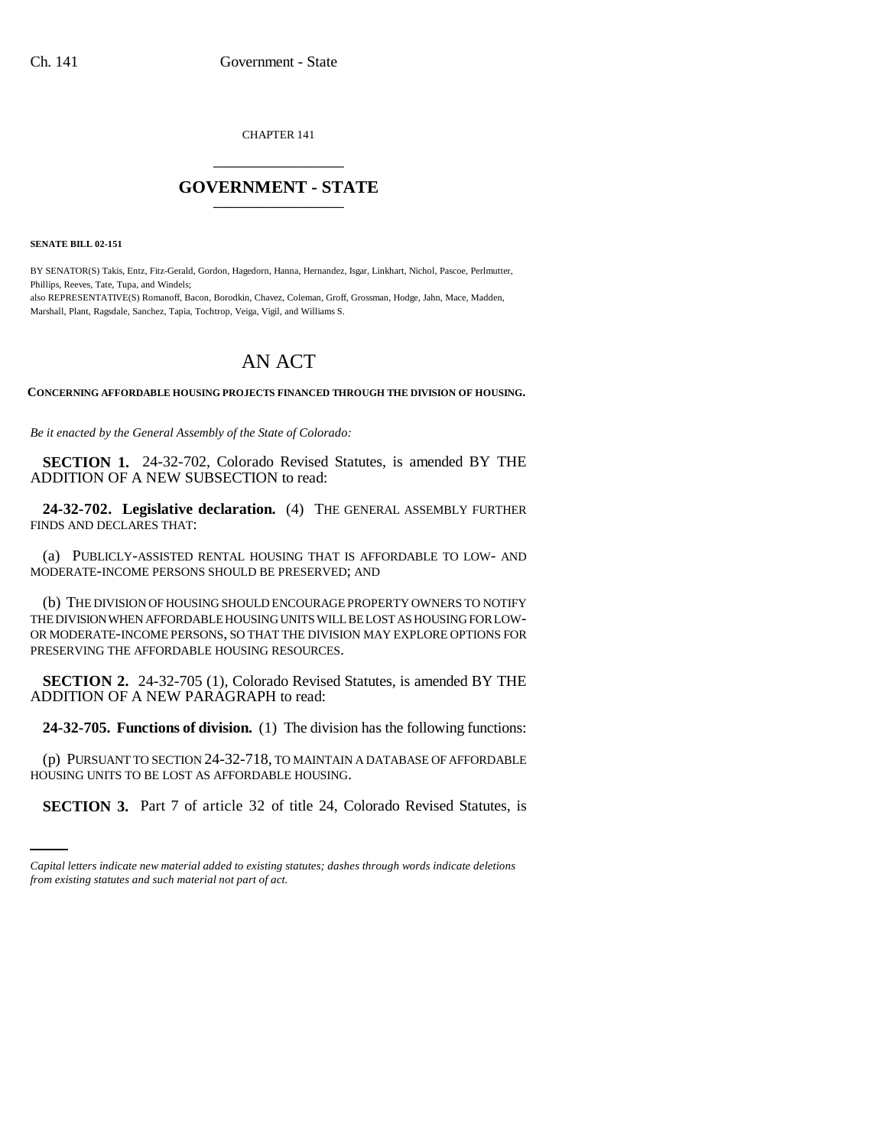CHAPTER 141 \_\_\_\_\_\_\_\_\_\_\_\_\_\_\_

## **GOVERNMENT - STATE** \_\_\_\_\_\_\_\_\_\_\_\_\_\_\_

**SENATE BILL 02-151**

BY SENATOR(S) Takis, Entz, Fitz-Gerald, Gordon, Hagedorn, Hanna, Hernandez, Isgar, Linkhart, Nichol, Pascoe, Perlmutter, Phillips, Reeves, Tate, Tupa, and Windels;

also REPRESENTATIVE(S) Romanoff, Bacon, Borodkin, Chavez, Coleman, Groff, Grossman, Hodge, Jahn, Mace, Madden, Marshall, Plant, Ragsdale, Sanchez, Tapia, Tochtrop, Veiga, Vigil, and Williams S.

## AN ACT

**CONCERNING AFFORDABLE HOUSING PROJECTS FINANCED THROUGH THE DIVISION OF HOUSING.**

*Be it enacted by the General Assembly of the State of Colorado:*

**SECTION 1.** 24-32-702, Colorado Revised Statutes, is amended BY THE ADDITION OF A NEW SUBSECTION to read:

**24-32-702. Legislative declaration.** (4) THE GENERAL ASSEMBLY FURTHER FINDS AND DECLARES THAT:

(a) PUBLICLY-ASSISTED RENTAL HOUSING THAT IS AFFORDABLE TO LOW- AND MODERATE-INCOME PERSONS SHOULD BE PRESERVED; AND

(b) THE DIVISION OF HOUSING SHOULD ENCOURAGE PROPERTY OWNERS TO NOTIFY THE DIVISION WHEN AFFORDABLE HOUSING UNITS WILL BE LOST AS HOUSING FOR LOW-OR MODERATE-INCOME PERSONS, SO THAT THE DIVISION MAY EXPLORE OPTIONS FOR PRESERVING THE AFFORDABLE HOUSING RESOURCES.

**SECTION 2.** 24-32-705 (1), Colorado Revised Statutes, is amended BY THE ADDITION OF A NEW PARAGRAPH to read:

**24-32-705. Functions of division.** (1) The division has the following functions:

HOUSING UNITS TO BE LOST AS AFFORDABLE HOUSING. (p) PURSUANT TO SECTION 24-32-718, TO MAINTAIN A DATABASE OF AFFORDABLE

**SECTION 3.** Part 7 of article 32 of title 24, Colorado Revised Statutes, is

*Capital letters indicate new material added to existing statutes; dashes through words indicate deletions from existing statutes and such material not part of act.*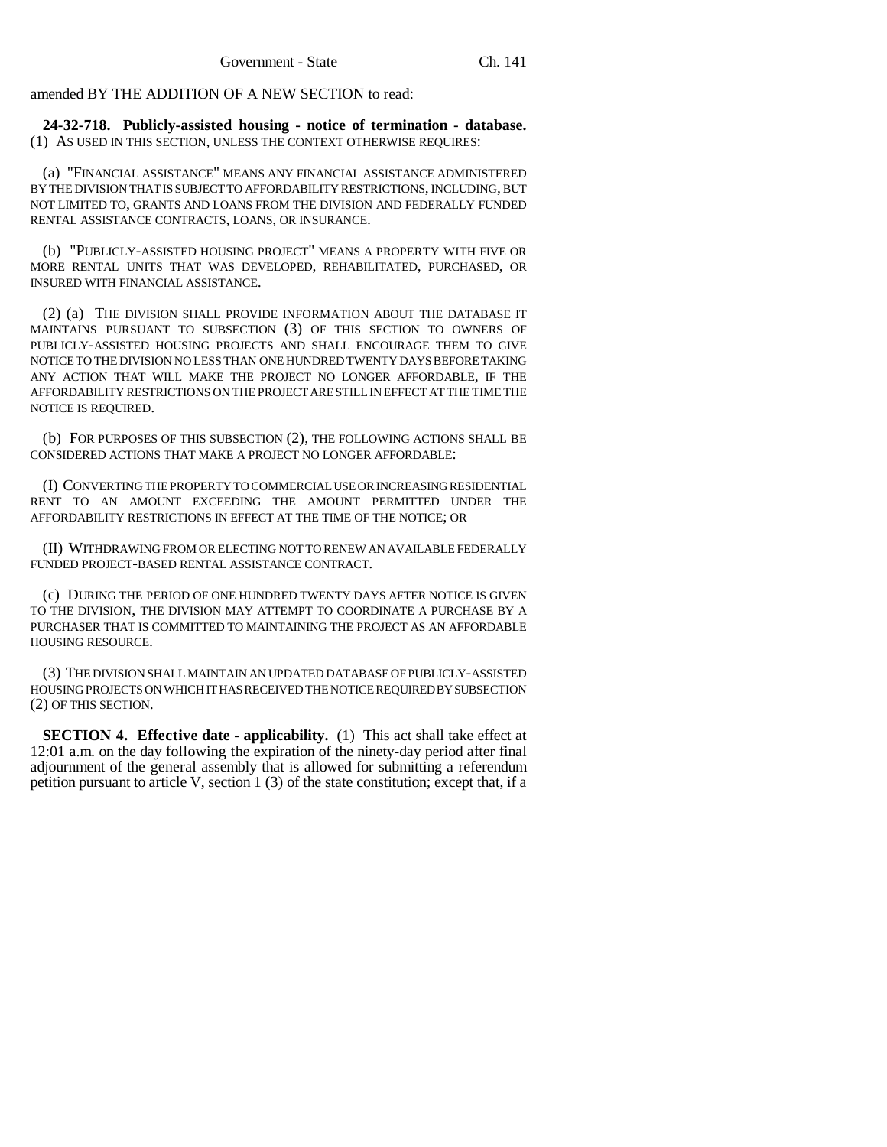amended BY THE ADDITION OF A NEW SECTION to read:

**24-32-718. Publicly-assisted housing - notice of termination - database.** (1) AS USED IN THIS SECTION, UNLESS THE CONTEXT OTHERWISE REQUIRES:

(a) "FINANCIAL ASSISTANCE" MEANS ANY FINANCIAL ASSISTANCE ADMINISTERED BY THE DIVISION THAT IS SUBJECT TO AFFORDABILITY RESTRICTIONS, INCLUDING, BUT NOT LIMITED TO, GRANTS AND LOANS FROM THE DIVISION AND FEDERALLY FUNDED RENTAL ASSISTANCE CONTRACTS, LOANS, OR INSURANCE.

(b) "PUBLICLY-ASSISTED HOUSING PROJECT" MEANS A PROPERTY WITH FIVE OR MORE RENTAL UNITS THAT WAS DEVELOPED, REHABILITATED, PURCHASED, OR INSURED WITH FINANCIAL ASSISTANCE.

(2) (a) THE DIVISION SHALL PROVIDE INFORMATION ABOUT THE DATABASE IT MAINTAINS PURSUANT TO SUBSECTION (3) OF THIS SECTION TO OWNERS OF PUBLICLY-ASSISTED HOUSING PROJECTS AND SHALL ENCOURAGE THEM TO GIVE NOTICE TO THE DIVISION NO LESS THAN ONE HUNDRED TWENTY DAYS BEFORE TAKING ANY ACTION THAT WILL MAKE THE PROJECT NO LONGER AFFORDABLE, IF THE AFFORDABILITY RESTRICTIONS ON THE PROJECT ARE STILL IN EFFECT AT THE TIME THE NOTICE IS REQUIRED.

(b) FOR PURPOSES OF THIS SUBSECTION (2), THE FOLLOWING ACTIONS SHALL BE CONSIDERED ACTIONS THAT MAKE A PROJECT NO LONGER AFFORDABLE:

(I) CONVERTING THE PROPERTY TO COMMERCIAL USE OR INCREASING RESIDENTIAL RENT TO AN AMOUNT EXCEEDING THE AMOUNT PERMITTED UNDER THE AFFORDABILITY RESTRICTIONS IN EFFECT AT THE TIME OF THE NOTICE; OR

(II) WITHDRAWING FROM OR ELECTING NOT TO RENEW AN AVAILABLE FEDERALLY FUNDED PROJECT-BASED RENTAL ASSISTANCE CONTRACT.

(c) DURING THE PERIOD OF ONE HUNDRED TWENTY DAYS AFTER NOTICE IS GIVEN TO THE DIVISION, THE DIVISION MAY ATTEMPT TO COORDINATE A PURCHASE BY A PURCHASER THAT IS COMMITTED TO MAINTAINING THE PROJECT AS AN AFFORDABLE HOUSING RESOURCE.

(3) THE DIVISION SHALL MAINTAIN AN UPDATED DATABASE OF PUBLICLY-ASSISTED HOUSING PROJECTS ON WHICH IT HAS RECEIVED THE NOTICE REQUIRED BY SUBSECTION (2) OF THIS SECTION.

**SECTION 4. Effective date - applicability.** (1) This act shall take effect at 12:01 a.m. on the day following the expiration of the ninety-day period after final adjournment of the general assembly that is allowed for submitting a referendum petition pursuant to article V, section 1 (3) of the state constitution; except that, if a